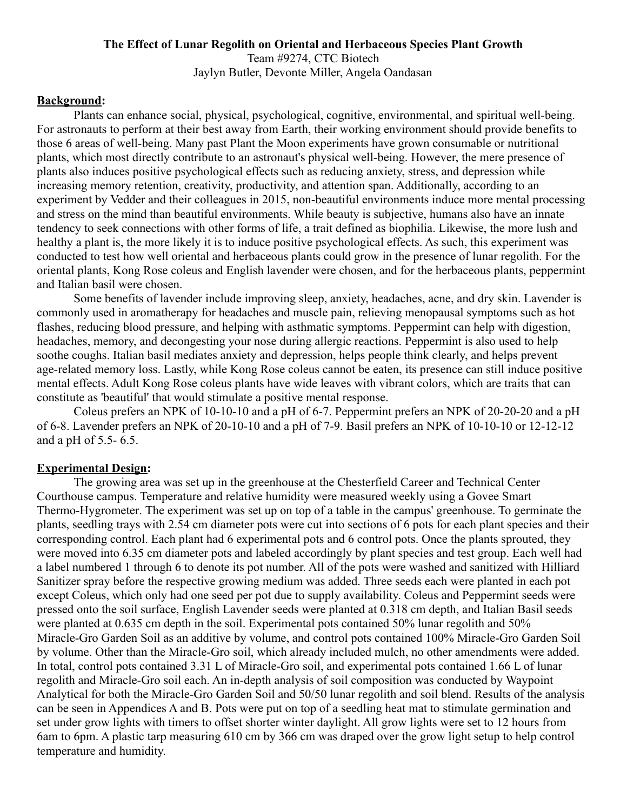### **The Effect of Lunar Regolith on Oriental and Herbaceous Species Plant Growth** Team #9274, CTC Biotech Jaylyn Butler, Devonte Miller, Angela Oandasan

### **Background:**

Plants can enhance social, physical, psychological, cognitive, environmental, and spiritual well-being. For astronauts to perform at their best away from Earth, their working environment should provide benefits to those 6 areas of well-being. Many past Plant the Moon experiments have grown consumable or nutritional plants, which most directly contribute to an astronaut's physical well-being. However, the mere presence of plants also induces positive psychological effects such as reducing anxiety, stress, and depression while increasing memory retention, creativity, productivity, and attention span. Additionally, according to an experiment by Vedder and their colleagues in 2015, non-beautiful environments induce more mental processing and stress on the mind than beautiful environments. While beauty is subjective, humans also have an innate tendency to seek connections with other forms of life, a trait defined as biophilia. Likewise, the more lush and healthy a plant is, the more likely it is to induce positive psychological effects. As such, this experiment was conducted to test how well oriental and herbaceous plants could grow in the presence of lunar regolith. For the oriental plants, Kong Rose coleus and English lavender were chosen, and for the herbaceous plants, peppermint and Italian basil were chosen.

Some benefits of lavender include improving sleep, anxiety, headaches, acne, and dry skin. Lavender is commonly used in aromatherapy for headaches and muscle pain, relieving menopausal symptoms such as hot flashes, reducing blood pressure, and helping with asthmatic symptoms. Peppermint can help with digestion, headaches, memory, and decongesting your nose during allergic reactions. Peppermint is also used to help soothe coughs. Italian basil mediates anxiety and depression, helps people think clearly, and helps prevent age-related memory loss. Lastly, while Kong Rose coleus cannot be eaten, its presence can still induce positive mental effects. Adult Kong Rose coleus plants have wide leaves with vibrant colors, which are traits that can constitute as 'beautiful' that would stimulate a positive mental response.

Coleus prefers an NPK of 10-10-10 and a pH of 6-7. Peppermint prefers an NPK of 20-20-20 and a pH of 6-8. Lavender prefers an NPK of 20-10-10 and a pH of 7-9. Basil prefers an NPK of 10-10-10 or 12-12-12 and a pH of 5.5- 6.5.

### **Experimental Design:**

The growing area was set up in the greenhouse at the Chesterfield Career and Technical Center Courthouse campus. Temperature and relative humidity were measured weekly using a Govee Smart Thermo-Hygrometer. The experiment was set up on top of a table in the campus' greenhouse. To germinate the plants, seedling trays with 2.54 cm diameter pots were cut into sections of 6 pots for each plant species and their corresponding control. Each plant had 6 experimental pots and 6 control pots. Once the plants sprouted, they were moved into 6.35 cm diameter pots and labeled accordingly by plant species and test group. Each well had a label numbered 1 through 6 to denote its pot number. All of the pots were washed and sanitized with Hilliard Sanitizer spray before the respective growing medium was added. Three seeds each were planted in each pot except Coleus, which only had one seed per pot due to supply availability. Coleus and Peppermint seeds were pressed onto the soil surface, English Lavender seeds were planted at 0.318 cm depth, and Italian Basil seeds were planted at 0.635 cm depth in the soil. Experimental pots contained 50% lunar regolith and 50% Miracle-Gro Garden Soil as an additive by volume, and control pots contained 100% Miracle-Gro Garden Soil by volume. Other than the Miracle-Gro soil, which already included mulch, no other amendments were added. In total, control pots contained 3.31 L of Miracle-Gro soil, and experimental pots contained 1.66 L of lunar regolith and Miracle-Gro soil each. An in-depth analysis of soil composition was conducted by Waypoint Analytical for both the Miracle-Gro Garden Soil and 50/50 lunar regolith and soil blend. Results of the analysis can be seen in Appendices A and B. Pots were put on top of a seedling heat mat to stimulate germination and set under grow lights with timers to offset shorter winter daylight. All grow lights were set to 12 hours from 6am to 6pm. A plastic tarp measuring 610 cm by 366 cm was draped over the grow light setup to help control temperature and humidity.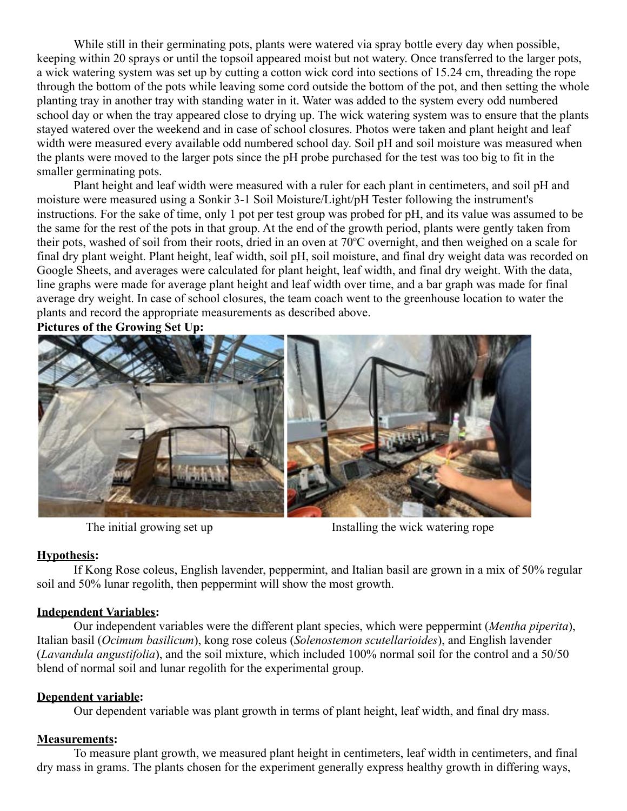While still in their germinating pots, plants were watered via spray bottle every day when possible, keeping within 20 sprays or until the topsoil appeared moist but not watery. Once transferred to the larger pots, a wick watering system was set up by cutting a cotton wick cord into sections of 15.24 cm, threading the rope through the bottom of the pots while leaving some cord outside the bottom of the pot, and then setting the whole planting tray in another tray with standing water in it. Water was added to the system every odd numbered school day or when the tray appeared close to drying up. The wick watering system was to ensure that the plants stayed watered over the weekend and in case of school closures. Photos were taken and plant height and leaf width were measured every available odd numbered school day. Soil pH and soil moisture was measured when the plants were moved to the larger pots since the pH probe purchased for the test was too big to fit in the smaller germinating pots.

Plant height and leaf width were measured with a ruler for each plant in centimeters, and soil pH and moisture were measured using a Sonkir 3-1 Soil Moisture/Light/pH Tester following the instrument's instructions. For the sake of time, only 1 pot per test group was probed for pH, and its value was assumed to be the same for the rest of the pots in that group. At the end of the growth period, plants were gently taken from their pots, washed of soil from their roots, dried in an oven at 70°C overnight, and then weighed on a scale for final dry plant weight. Plant height, leaf width, soil pH, soil moisture, and final dry weight data was recorded on Google Sheets, and averages were calculated for plant height, leaf width, and final dry weight. With the data, line graphs were made for average plant height and leaf width over time, and a bar graph was made for final average dry weight. In case of school closures, the team coach went to the greenhouse location to water the plants and record the appropriate measurements as described above.

**Pictures of the Growing Set Up:**



The initial growing set up Installing the wick watering rope

## **Hypothesis:**

If Kong Rose coleus, English lavender, peppermint, and Italian basil are grown in a mix of 50% regular soil and 50% lunar regolith, then peppermint will show the most growth.

## **Independent Variables:**

Our independent variables were the different plant species, which were peppermint (*Mentha piperita*), Italian basil (*Ocimum basilicum*), kong rose coleus (*Solenostemon scutellarioides*), and English lavender (*Lavandula angustifolia*), and the soil mixture, which included 100% normal soil for the control and a 50/50 blend of normal soil and lunar regolith for the experimental group.

## **Dependent variable:**

Our dependent variable was plant growth in terms of plant height, leaf width, and final dry mass.

# **Measurements:**

To measure plant growth, we measured plant height in centimeters, leaf width in centimeters, and final dry mass in grams. The plants chosen for the experiment generally express healthy growth in differing ways,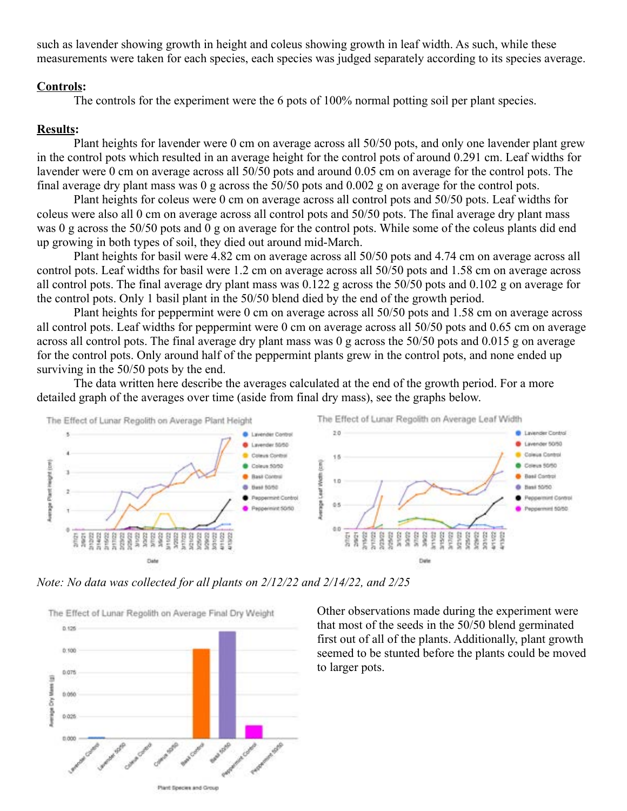such as lavender showing growth in height and coleus showing growth in leaf width. As such, while these measurements were taken for each species, each species was judged separately according to its species average.

#### **Controls:**

The controls for the experiment were the 6 pots of 100% normal potting soil per plant species.

### **Results:**

Plant heights for lavender were 0 cm on average across all 50/50 pots, and only one lavender plant grew in the control pots which resulted in an average height for the control pots of around 0.291 cm. Leaf widths for lavender were 0 cm on average across all 50/50 pots and around 0.05 cm on average for the control pots. The final average dry plant mass was 0 g across the 50/50 pots and 0.002 g on average for the control pots.

Plant heights for coleus were 0 cm on average across all control pots and 50/50 pots. Leaf widths for coleus were also all 0 cm on average across all control pots and 50/50 pots. The final average dry plant mass was 0 g across the 50/50 pots and 0 g on average for the control pots. While some of the coleus plants did end up growing in both types of soil, they died out around mid-March.

Plant heights for basil were 4.82 cm on average across all 50/50 pots and 4.74 cm on average across all control pots. Leaf widths for basil were 1.2 cm on average across all 50/50 pots and 1.58 cm on average across all control pots. The final average dry plant mass was 0.122 g across the 50/50 pots and 0.102 g on average for the control pots. Only 1 basil plant in the 50/50 blend died by the end of the growth period.

Plant heights for peppermint were 0 cm on average across all 50/50 pots and 1.58 cm on average across all control pots. Leaf widths for peppermint were 0 cm on average across all 50/50 pots and 0.65 cm on average across all control pots. The final average dry plant mass was 0 g across the 50/50 pots and 0.015 g on average for the control pots. Only around half of the peppermint plants grew in the control pots, and none ended up surviving in the 50/50 pots by the end.

The data written here describe the averages calculated at the end of the growth period. For a more detailed graph of the averages over time (aside from final dry mass), see the graphs below.



*Note: No data was collected for all plants on 2/12/22 and 2/14/22, and 2/25*



Other observations made during the experiment were that most of the seeds in the 50/50 blend germinated first out of all of the plants. Additionally, plant growth seemed to be stunted before the plants could be moved to larger pots.

Plant Species and Group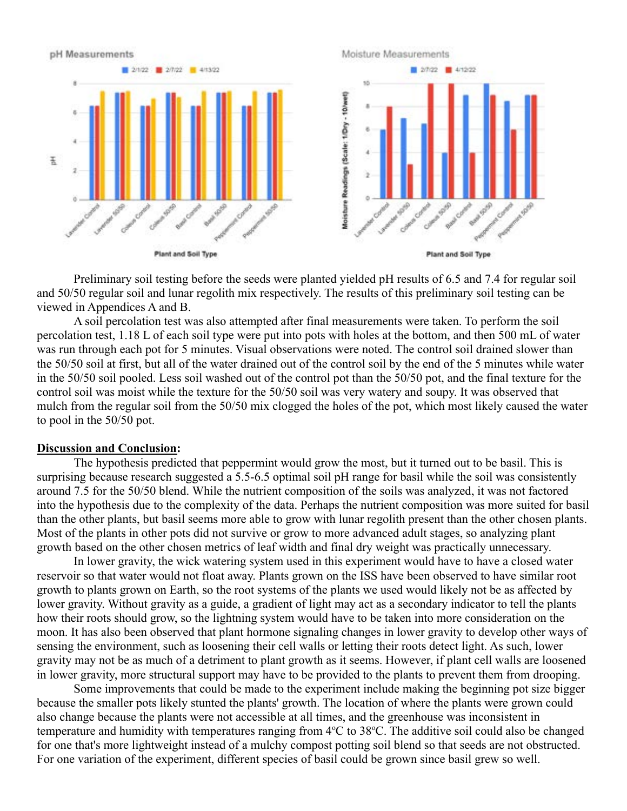

Preliminary soil testing before the seeds were planted yielded pH results of 6.5 and 7.4 for regular soil and 50/50 regular soil and lunar regolith mix respectively. The results of this preliminary soil testing can be viewed in Appendices A and B.

A soil percolation test was also attempted after final measurements were taken. To perform the soil percolation test, 1.18 L of each soil type were put into pots with holes at the bottom, and then 500 mL of water was run through each pot for 5 minutes. Visual observations were noted. The control soil drained slower than the 50/50 soil at first, but all of the water drained out of the control soil by the end of the 5 minutes while water in the 50/50 soil pooled. Less soil washed out of the control pot than the 50/50 pot, and the final texture for the control soil was moist while the texture for the 50/50 soil was very watery and soupy. It was observed that mulch from the regular soil from the 50/50 mix clogged the holes of the pot, which most likely caused the water to pool in the 50/50 pot.

#### **Discussion and Conclusion:**

The hypothesis predicted that peppermint would grow the most, but it turned out to be basil. This is surprising because research suggested a 5.5-6.5 optimal soil pH range for basil while the soil was consistently around 7.5 for the 50/50 blend. While the nutrient composition of the soils was analyzed, it was not factored into the hypothesis due to the complexity of the data. Perhaps the nutrient composition was more suited for basil than the other plants, but basil seems more able to grow with lunar regolith present than the other chosen plants. Most of the plants in other pots did not survive or grow to more advanced adult stages, so analyzing plant growth based on the other chosen metrics of leaf width and final dry weight was practically unnecessary.

In lower gravity, the wick watering system used in this experiment would have to have a closed water reservoir so that water would not float away. Plants grown on the ISS have been observed to have similar root growth to plants grown on Earth, so the root systems of the plants we used would likely not be as affected by lower gravity. Without gravity as a guide, a gradient of light may act as a secondary indicator to tell the plants how their roots should grow, so the lightning system would have to be taken into more consideration on the moon. It has also been observed that plant hormone signaling changes in lower gravity to develop other ways of sensing the environment, such as loosening their cell walls or letting their roots detect light. As such, lower gravity may not be as much of a detriment to plant growth as it seems. However, if plant cell walls are loosened in lower gravity, more structural support may have to be provided to the plants to prevent them from drooping.

Some improvements that could be made to the experiment include making the beginning pot size bigger because the smaller pots likely stunted the plants' growth. The location of where the plants were grown could also change because the plants were not accessible at all times, and the greenhouse was inconsistent in temperature and humidity with temperatures ranging from 4°C to 38°C. The additive soil could also be changed for one that's more lightweight instead of a mulchy compost potting soil blend so that seeds are not obstructed. For one variation of the experiment, different species of basil could be grown since basil grew so well.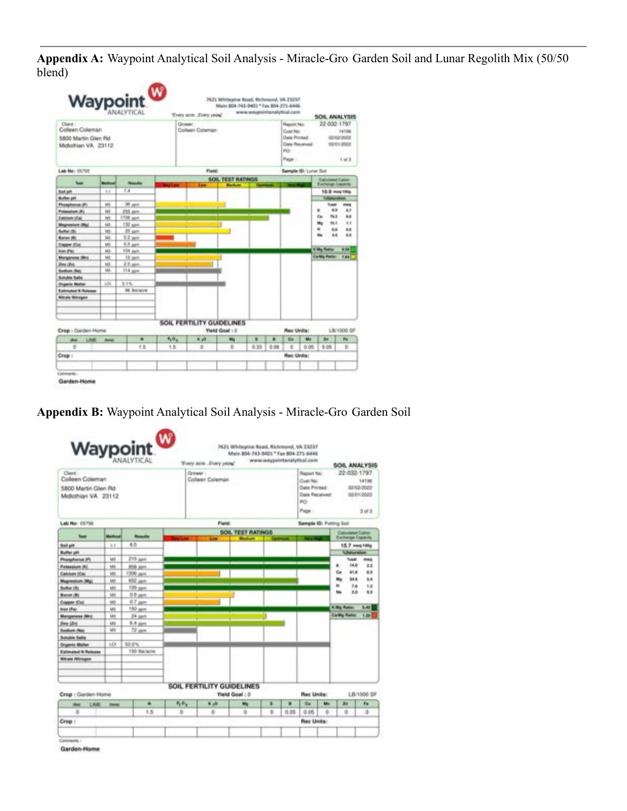**Appendix A:** Waypoint Analytical Soil Analysis - Miracle-Gro Garden Soil and Lunar Regolith Mix (50/50 blend)

|                                                                          |                | Waypoint <sup>00</sup> |              | Trery area. Every years?  |                                             | www.waypointanalytical.com |                                                                              |                         |                                                            | SOIL ANALYSIS               |                   |
|--------------------------------------------------------------------------|----------------|------------------------|--------------|---------------------------|---------------------------------------------|----------------------------|------------------------------------------------------------------------------|-------------------------|------------------------------------------------------------|-----------------------------|-------------------|
| Client:<br>Colleen Coleman<br>5800 Martin Glen Rd<br>Midlathian VA 23112 |                |                        |              | Ground<br>Colleen Coleman |                                             |                            | <b>Fluggert Fact:</b><br>Cust No:<br><b>Flatte Printed:</b><br>PO-<br>Page : | Date Received           | 22-032-1797<br>14106<br>02/02/2022<br>02/01/2022<br>1 of 3 |                             |                   |
| Lab No: 18765                                                            |                |                        |              |                           | Field:                                      |                            |                                                                              | Sample (Dr. Lunar Soil) |                                                            |                             |                   |
|                                                                          |                |                        |              |                           | SOIL TEST RATINGS                           |                            |                                                                              |                         |                                                            | <b>Canadanal Callers</b>    |                   |
| <b>Taur</b>                                                              | <b>Bullion</b> | <b>Results</b>         |              | <b>Long</b>               |                                             |                            |                                                                              |                         |                                                            | Exchange Capacity           |                   |
| <b>Ball pM</b>                                                           | 11             | T.A                    |              |                           |                                             |                            |                                                                              |                         |                                                            |                             | 10.9 mm 150g      |
| Buffer JFI                                                               |                |                        |              |                           |                                             |                            |                                                                              |                         |                                                            | <b>Subartus adminstrate</b> |                   |
| <b>Philaphones (P)</b>                                                   | M3             | 36 ppm                 |              |                           |                                             |                            |                                                                              |                         |                                                            | <b>Seat</b>                 | mass              |
| <b>Polanakum (K)</b>                                                     | <b>HELP</b>    | 255 ppm                |              |                           |                                             |                            |                                                                              |                         |                                                            | 4.9<br>٠                    | 63                |
| <b>Calcium (Ca)</b>                                                      | tars           | 1726 ppm               |              |                           |                                             |                            |                                                                              |                         |                                                            | Ca<br>76.3                  | 88                |
| <b>Magnesium (Mg)</b>                                                    | <b>MR</b>      | 174 ppm                |              |                           |                                             |                            |                                                                              |                         |                                                            | tés<br>16.1                 | 11                |
| <b>Buffer (B)</b>                                                        | ters.          | 28 per                 |              |                           |                                             |                            |                                                                              |                         |                                                            | m<br>**<br>48               | 88<br>6.8         |
| Boron (B)                                                                | <b>ME</b>      | 9.2 pm                 |              |                           |                                             |                            |                                                                              |                         |                                                            |                             |                   |
| Copper (Co)                                                              | M3             | 0.5 pem                |              |                           |                                             |                            |                                                                              |                         |                                                            |                             |                   |
| Inn Pat.                                                                 | M1             | 104 per.               |              |                           |                                             |                            |                                                                              |                         |                                                            | <b>A My Rutin</b>           | 6.96              |
| Manganiene (Min)                                                         | tats.          | 10 ppm                 |              |                           |                                             |                            |                                                                              |                         |                                                            | <b>CarMy Rotter</b>         | 7.84              |
| Zime (Zin)                                                               | 563            | 2.5 ppm                |              |                           |                                             |                            |                                                                              |                         |                                                            |                             |                   |
| <b>Badham (Red)</b>                                                      | M3             | 114 ppm                |              |                           |                                             |                            |                                                                              |                         |                                                            |                             |                   |
| <b>Buildin Salts</b>                                                     |                |                        |              |                           |                                             |                            |                                                                              |                         |                                                            |                             |                   |
| <b>Organic Matter</b>                                                    | u.tx           | 3.1%                   |              |                           |                                             |                            |                                                                              |                         |                                                            |                             |                   |
| Extension & Roberts                                                      |                | <b>34 Balace</b>       |              |                           |                                             |                            |                                                                              |                         |                                                            |                             |                   |
| <b>Winals Winsport</b>                                                   |                |                        |              |                           |                                             |                            |                                                                              |                         |                                                            |                             |                   |
|                                                                          |                |                        |              |                           |                                             |                            |                                                                              |                         |                                                            |                             |                   |
|                                                                          |                |                        |              |                           |                                             |                            |                                                                              |                         |                                                            |                             |                   |
|                                                                          |                |                        |              |                           |                                             |                            |                                                                              |                         |                                                            |                             |                   |
| Crep : Garden-Home                                                       |                |                        |              |                           | SOIL FERTILITY GUIDELINES<br>Yield Goal : 3 |                            |                                                                              | <b>Rec Units:</b>       |                                                            |                             | <b>LB/1000 SF</b> |
| LIME dated<br><b>Chair</b>                                               |                | ۰                      | $P_1, P_2, $ | 8.03                      | w                                           | ٠                          | ٠                                                                            | the                     | May                                                        | <b>BK</b>                   | We.               |
| <b>D</b>                                                                 |                | 18                     | 1.5          | o                         | <b>D</b>                                    | 0.33                       | 0.06                                                                         | D.                      | 0.05                                                       | 0.05                        | <b>D</b>          |
| Crep:                                                                    |                |                        |              |                           |                                             |                            |                                                                              | <b>Rec Units:</b>       |                                                            |                             |                   |
|                                                                          |                |                        |              |                           |                                             |                            |                                                                              |                         |                                                            |                             |                   |

# **Appendix B:** Waypoint Analytical Soil Analysis - Miracle-Gro Garden Soil

|                                                                         |              | Waypoint <sup>09</sup> |                | Tivey aon  Every years'    |                          |   |      | www.weypeintarialytical.com                                                  |      | SOIL ANALYSIS                                |                                        |
|-------------------------------------------------------------------------|--------------|------------------------|----------------|----------------------------|--------------------------|---|------|------------------------------------------------------------------------------|------|----------------------------------------------|----------------------------------------|
| Clert :<br>Coleen Coleman<br>5800 Martin Glen Rd<br>Midlothian VA 23112 |              |                        |                | Grower:<br>Colleen Colemán |                          |   |      | <b>Region No.</b><br>Cust No.<br>Data Printed:<br>Data Received<br><b>PO</b> |      | 22-032-1797                                  | 14136<br>02/02/2022<br>62012022<br>--- |
|                                                                         |              |                        |                |                            |                          |   |      | Page :                                                                       |      |                                              | 3 of 3                                 |
| Lab No: 05758                                                           |              |                        |                |                            | <b>Field:</b>            |   |      | Sample ID: Potting Soil                                                      |      |                                              |                                        |
| Tuet                                                                    | Mathaut      | <b>Possible</b>        |                |                            | <b>SOIL TEST RATINGS</b> |   |      |                                                                              |      | <b>Calculated Calcul</b><br>Exchange Capachy |                                        |
| <b>Builder</b>                                                          | 4.4          | 65                     |                |                            |                          |   |      |                                                                              |      |                                              | 15.7 mag10lg                           |
| <b>Bulliet pH</b>                                                       |              |                        |                |                            |                          |   |      |                                                                              |      | <b><i><u>Scholarships</u></i></b>            |                                        |
| <b>Photohorick (P)</b>                                                  | M5           | 215 ppm                |                |                            |                          |   |      |                                                                              |      | <b>Tuesd</b>                                 | meg                                    |
| Potassium (K)                                                           | M3           | 858 Jan                |                |                            |                          |   |      |                                                                              |      | 14.81<br>ĸ                                   | 2.2                                    |
| <b>Calcioni (Ca)</b>                                                    | Mt           | 1306 ppm               |                |                            |                          |   |      |                                                                              |      | 41.6<br>Ca                                   | 6.8                                    |
| <b>Magnesium (Mg)</b>                                                   | M3           | 652 april              |                |                            |                          |   |      |                                                                              |      | 34.61<br>Mr.                                 | 5.8                                    |
| Sultan (S)                                                              | <b>LES</b>   | 100 april              |                |                            |                          |   |      |                                                                              |      | m<br>38                                      | <b>LE</b>                              |
| Boron (B)                                                               | MB           | 0.6 pers               |                |                            |                          |   |      |                                                                              |      | <b>XA</b><br>to.                             | 6.9                                    |
| Copper (Cal)                                                            | <b>MB</b>    | 0.7 perc               |                |                            |                          |   |      |                                                                              |      |                                              |                                        |
| <b>box (Fe)</b>                                                         | <b>LKS</b>   | 150 ppm                |                |                            |                          |   |      |                                                                              |      | <b>K Mg Ratio</b>                            | 6.40                                   |
| Manganesa (Mrs)                                                         | ME           | 24 ppm                 |                |                            |                          |   |      |                                                                              |      | <b>Carlife Ration</b>                        | 1.99                                   |
| <b>Zinc (Zin)</b>                                                       | <b>ME</b>    | 6.4 ppm                |                |                            |                          |   |      |                                                                              |      |                                              |                                        |
| <b>Sedum (Na)</b>                                                       | kets.        | 72 per                 |                |                            |                          |   |      |                                                                              |      |                                              |                                        |
| <b>Buildin Salts</b>                                                    |              |                        |                |                            |                          |   |      |                                                                              |      |                                              |                                        |
| <b>Crysmid Mallen</b>                                                   | 10           | 53.0%                  |                |                            |                          |   |      |                                                                              |      |                                              |                                        |
| Estimated N Reissea                                                     |              | 150 Roylecte           |                |                            |                          |   |      |                                                                              |      |                                              |                                        |
| <b>Nitrate Nitragen</b>                                                 |              |                        |                |                            |                          |   |      |                                                                              |      |                                              |                                        |
|                                                                         |              |                        |                |                            |                          |   |      |                                                                              |      |                                              |                                        |
|                                                                         |              |                        |                |                            |                          |   |      |                                                                              |      |                                              |                                        |
|                                                                         |              |                        |                |                            |                          |   |      |                                                                              |      |                                              |                                        |
| Crop : Garden-Home                                                      |              |                        |                | SOIL FERTILITY GUIDELINES  | <b>Yield Goal: D</b>     |   |      | Rec Units:                                                                   |      |                                              | <b>LB/1006 SF</b>                      |
| LHK<br><b>Hard</b>                                                      | <b>Hotel</b> | ٠                      | $P_1 \oplus Q$ | 8,0                        | My                       | × | ٠    | the                                                                          | Mar. | žu.                                          | Fu.                                    |
| n.                                                                      |              | 1.6                    | 0              | b                          | ů                        | b | 0.05 | 0.06                                                                         | ÷    | ā                                            | 4                                      |
| Crep !                                                                  |              |                        |                |                            |                          |   |      | Rec Units:                                                                   |      |                                              |                                        |

Garden-Home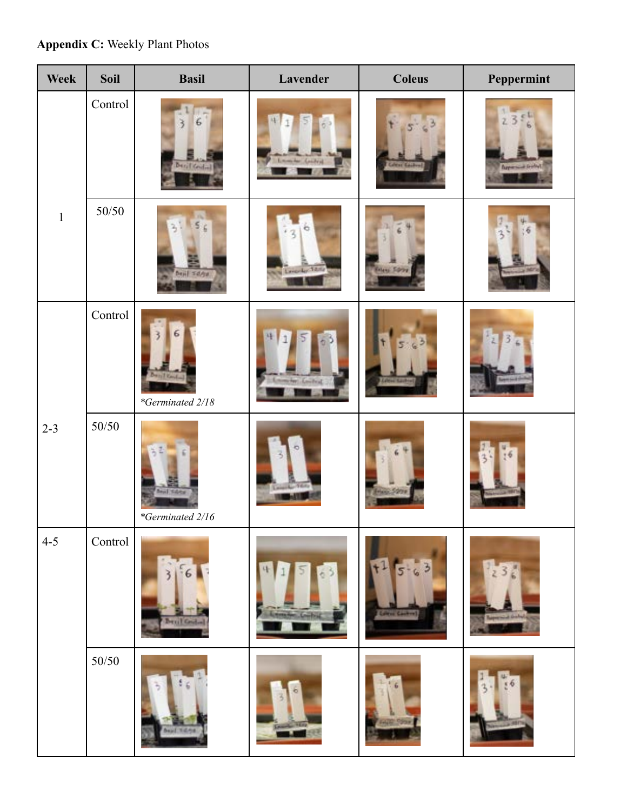# **Appendix C:** Weekly Plant Photos

| Week         | Soil    | <b>Basil</b>                          | Lavender               | <b>Coleus</b>       | Peppermint         |
|--------------|---------|---------------------------------------|------------------------|---------------------|--------------------|
|              | Control | <b>Baril Condition</b>                |                        | <b>Labirac</b>      | <b>Bayersid</b> is |
| $\mathbf{1}$ | 50/50   | Deal Some                             | <b>All Lengthy Tax</b> | <b>Kiley Street</b> |                    |
|              | Control | 1 Karolin<br>*Germinated 2/18         | motor: Louisea         |                     |                    |
| $2 - 3$      | 50/50   | <b>Mail Subta</b><br>*Germinated 2/16 |                        | <b>Them Some</b>    |                    |
| $4 - 5$      | Control | <b>PETIL Case</b>                     |                        | Б<br>Little Casheel |                    |
|              | $50/50$ |                                       |                        |                     |                    |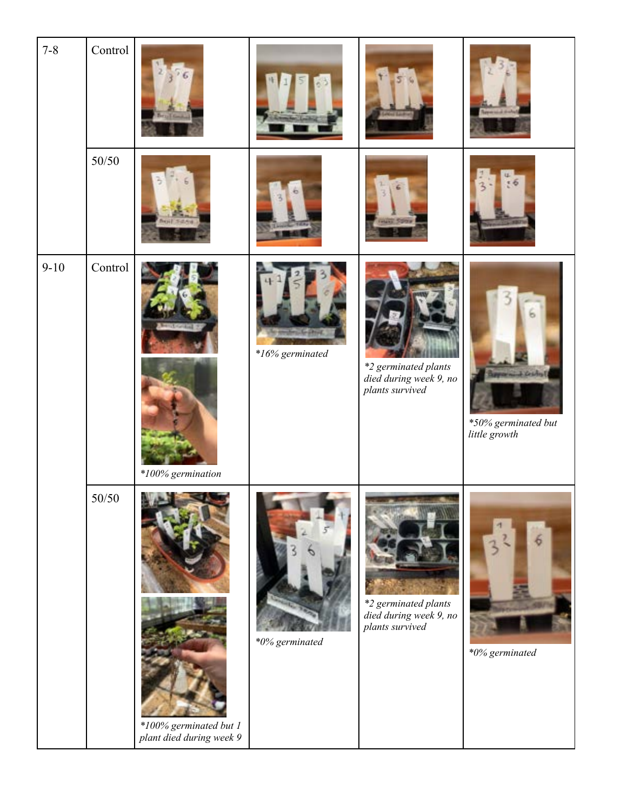| $7 - 8$  | Control |                                                                           |                 |                                                                   |                                                    |
|----------|---------|---------------------------------------------------------------------------|-----------------|-------------------------------------------------------------------|----------------------------------------------------|
|          | 50/50   |                                                                           |                 |                                                                   | .6                                                 |
| $9 - 10$ | Control | $*100\%$ germination                                                      | *16% germinated | *2 germinated plants<br>died during week 9, no<br>plants survived | J. Central<br>*50% germinated but<br>little growth |
|          | $50/50$ | <b>NUMBER OF</b><br>$*100\%$ germinated but 1<br>plant died during week 9 | *0% germinated  | *2 germinated plants<br>died during week 9, no<br>plants survived | *0% germinated                                     |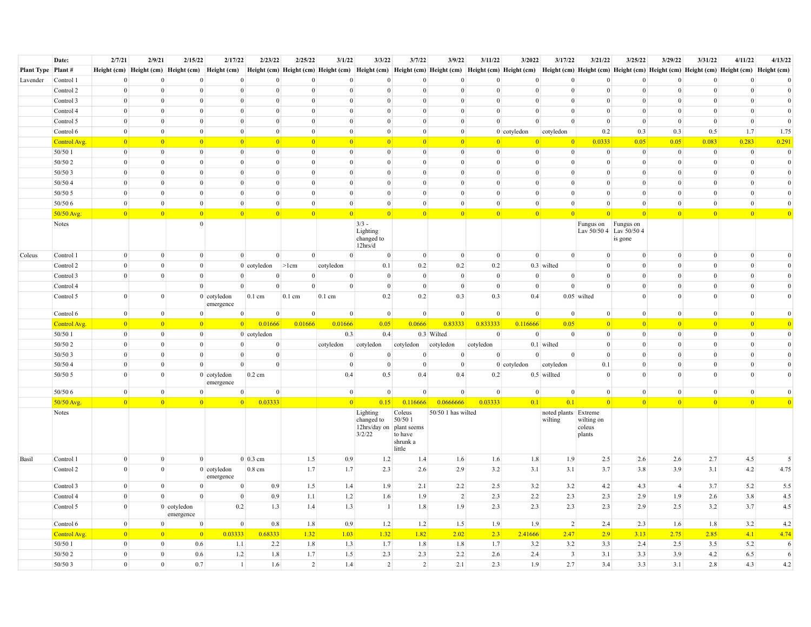|                      | Date:        | 2/7/21          | 2/9/21          | 2/15/22                    | 2/17/22                    | 2/23/22                           | 2/25/22         | 3/1/22           | 3/3/22                                                       | 3/7/22                                             | 3/9/22                                                                                                                                                                                                                         | 3/11/22         | 3/2022          | 3/17/22                         | 3/21/22                        | 3/25/22                            | 3/29/22         | 3/31/22         | 4/11/22         | 4/13/22         |
|----------------------|--------------|-----------------|-----------------|----------------------------|----------------------------|-----------------------------------|-----------------|------------------|--------------------------------------------------------------|----------------------------------------------------|--------------------------------------------------------------------------------------------------------------------------------------------------------------------------------------------------------------------------------|-----------------|-----------------|---------------------------------|--------------------------------|------------------------------------|-----------------|-----------------|-----------------|-----------------|
| Plant Type   Plant # |              |                 |                 |                            |                            |                                   |                 |                  |                                                              |                                                    | Height (cm) Height (cm) Height (cm) Height (cm) Height (cm) Height (cm) Height (cm) Height (cm) Height (cm) Height (cm) Height (cm) Height (cm) Height (cm) Height (cm) Height (cm) Height (cm) Height (cm) Height (cm) Height |                 |                 |                                 |                                |                                    |                 |                 |                 |                 |
| Lavender             | Control 1    | $\mathbf{0}$    | $\Omega$        | $\theta$                   |                            | $\mathbf{0}$<br>$\overline{0}$    | $\mathbf{0}$    | $\overline{0}$   | $\Omega$                                                     | $\overline{0}$                                     | $\Omega$                                                                                                                                                                                                                       | $\mathbf{0}$    | $\theta$        | $\theta$                        | $\mathbf{0}$                   | $\mathbf{0}$                       | $\Omega$        | $\Omega$        | $\overline{0}$  | $\Omega$        |
|                      | Control 2    | $\mathbf{0}$    | $\overline{0}$  | $\overline{0}$             |                            | $\bf{0}$<br>$\overline{0}$        | $\mathbf{0}$    | $\overline{0}$   | $\Omega$                                                     | $\overline{0}$                                     | $\mathbf{0}$                                                                                                                                                                                                                   | $\mathbf{0}$    | $\mathbf{0}$    | $\theta$                        | $\mathbf{0}$                   | $\theta$                           | $\theta$        | $\overline{0}$  | $\Omega$        | $\Omega$        |
|                      | Control 3    | $\mathbf{0}$    | $\Omega$        | $\Omega$                   |                            | $\mathbf{0}$<br>$\overline{0}$    | $\overline{0}$  | $\mathbf{0}$     | $\Omega$                                                     | $\Omega$                                           | $\mathbf{0}$                                                                                                                                                                                                                   | $\Omega$        | $\mathbf{0}$    | $\theta$                        | $\Omega$                       | $\overline{0}$                     | $\Omega$        | $\Omega$        | $\overline{0}$  | $\overline{0}$  |
|                      | Control 4    | $\theta$        | $\overline{0}$  | $\theta$                   |                            | $\Omega$<br>$\overline{0}$        | $\mathbf{0}$    | $\mathbf{0}$     | $\Omega$                                                     | $\theta$                                           | $\Omega$                                                                                                                                                                                                                       | $\Omega$        | $\mathbf{0}$    | $\theta$                        | $\Omega$                       | $\mathbf{0}$                       | $\theta$        | $\theta$        | $\Omega$        | $\overline{0}$  |
|                      | Control 5    | $\mathbf{0}$    | $\overline{0}$  | $\mathbf{0}$               |                            | $\bf{0}$<br>$\mathbf{0}$          | $\mathbf{0}$    | $\overline{0}$   | $\Omega$                                                     | $\mathbf{0}$                                       | $\mathbf{0}$                                                                                                                                                                                                                   | $\overline{0}$  | $\mathbf{0}$    | $\mathbf{0}$                    | $\mathbf{0}$                   | $\mathbf{0}$                       | $\mathbf{0}$    | $\mathbf{0}$    | $\overline{0}$  | $\overline{0}$  |
|                      | Control 6    | $\mathbf{0}$    | $\overline{0}$  | $\mathbf{0}$               |                            | $\mathbf{0}$<br>$\mathbf{0}$      | $\mathbf{0}$    | $\overline{0}$   | $\Omega$                                                     | $\mathbf{0}$                                       | $\mathbf{0}$                                                                                                                                                                                                                   |                 | $0$ cotyledon   | cotyledon                       | 0.2                            | 0.3                                | 0.3             | 0.5             | 1.7             | 1.75            |
|                      | Control Avg. | $\vert 0 \vert$ | 0               | $\vert 0 \vert$            |                            | $\overline{0}$<br>$\vert 0 \vert$ | $\vert 0 \vert$ | $\vert 0 \vert$  | $\vert 0 \vert$                                              | $\vert 0 \vert$                                    | 0                                                                                                                                                                                                                              | $\vert 0 \vert$ | $\vert 0 \vert$ | $\vert 0 \vert$                 | 0.0333                         | 0.05                               | 0.05            | 0.083           | 0.283           | 0.291           |
|                      | 50/50 1      | $\overline{0}$  | $\overline{0}$  | $\mathbf{0}$               |                            | $\mathbf{0}$<br>$\mathbf{0}$      | $\mathbf{0}$    | $\mathbf{0}$     | $\overline{0}$                                               | $\mathbf{0}$                                       | $\overline{0}$                                                                                                                                                                                                                 | $\overline{0}$  | $\overline{0}$  | $\mathbf{0}$                    | $\mathbf{0}$                   | $\mathbf{0}$                       | $\mathbf{0}$    | $\mathbf{0}$    | $\mathbf{0}$    | $\mathbf{0}$    |
|                      | 50/50 2      | $\overline{0}$  | $\overline{0}$  | $\mathbf{0}$               |                            | $\mathbf{0}$<br>$\mathbf{0}$      | $\mathbf{0}$    | $\overline{0}$   | $\theta$                                                     | $\mathbf{0}$                                       | $\mathbf{0}$                                                                                                                                                                                                                   | $\mathbf{0}$    | $\mathbf{0}$    | $\mathbf{0}$                    | $\mathbf{0}$                   | $\mathbf{0}$                       | $\mathbf{0}$    | $\mathbf{0}$    | $\mathbf{0}$    | $\overline{0}$  |
|                      | 50/50 3      | $\mathbf{0}$    | $\mathbf{0}$    | $\mathbf{0}$               |                            | $\mathbf{0}$<br>$\mathbf{0}$      | $\mathbf{0}$    | $\overline{0}$   | $\Omega$                                                     | $\mathbf{0}$                                       | $\mathbf{0}$                                                                                                                                                                                                                   | $\overline{0}$  | $\mathbf{0}$    | $\mathbf{0}$                    | $\mathbf{0}$                   | $\mathbf{0}$                       | $\mathbf{0}$    | $\mathbf{0}$    | $\overline{0}$  | $\overline{0}$  |
|                      | 50/504       | $\overline{0}$  | $\overline{0}$  | $\mathbf{0}$               |                            | $\bf{0}$<br>$\overline{0}$        | $\mathbf{0}$    | $\mathbf{0}$     | $\overline{0}$                                               | $\theta$                                           | $\mathbf{0}$                                                                                                                                                                                                                   | $\overline{0}$  | $\mathbf{0}$    | $\mathbf{0}$                    | $\mathbf{0}$                   | $\overline{0}$                     | $\mathbf{0}$    | $\mathbf{0}$    | $\overline{0}$  | $\overline{0}$  |
|                      | 50/50 5      | $\mathbf{0}$    | $\overline{0}$  | $\overline{0}$             |                            | $\bf{0}$<br>$\mathbf{0}$          | $\mathbf{0}$    | $\overline{0}$   | $\overline{0}$                                               | $\overline{0}$                                     | $\mathbf{0}$                                                                                                                                                                                                                   | $\overline{0}$  | $\overline{0}$  | $\mathbf{0}$                    | $\mathbf{0}$                   | $\overline{0}$                     | $\overline{0}$  | $\mathbf{0}$    | $\overline{0}$  | $\vert 0 \vert$ |
|                      | 50/50 6      | $\overline{0}$  | $\overline{0}$  | $\theta$                   |                            | $\bf{0}$<br>$\overline{0}$        | $\mathbf{0}$    | $\mathbf{0}$     | $\overline{0}$                                               | $\theta$                                           | $\overline{0}$                                                                                                                                                                                                                 | $\overline{0}$  | $\mathbf{0}$    | $\overline{0}$                  | $\overline{0}$                 | $\overline{0}$                     | $\overline{0}$  | $\mathbf{0}$    | $\overline{0}$  | $\vert 0 \vert$ |
|                      | 50/50 Avg    | $\vert 0 \vert$ | $\vert 0 \vert$ | $\overline{0}$             |                            | $\overline{0}$<br>$\vert 0 \vert$ | $\vert 0 \vert$ | 0                | $\vert 0 \vert$                                              | $\vert 0 \vert$                                    | 0                                                                                                                                                                                                                              | 0               | $\vert 0 \vert$ | $\vert 0 \vert$                 | 0                              | $\vert 0 \vert$                    | $\vert 0 \vert$ | $\vert 0 \vert$ | 0               | $\vert 0 \vert$ |
|                      | Notes        |                 |                 | $\overline{0}$             |                            |                                   |                 |                  | $3/3 -$<br>Lighting<br>changed to<br>12hrs/d                 |                                                    |                                                                                                                                                                                                                                |                 |                 |                                 | Fungus on Fungus on            | Lav 50/50 4 Lav 50/50 4<br>is gone |                 |                 |                 |                 |
| Coleus               | Control 1    | $\overline{0}$  | $\overline{0}$  | $\overline{0}$             |                            | $\mathbf{0}$<br>$\overline{0}$    | $\mathbf{0}$    | $\mathbf{0}$     | $\overline{0}$                                               | $\overline{0}$                                     | $\overline{0}$                                                                                                                                                                                                                 | $\vert 0 \vert$ | $\overline{0}$  | $\mathbf{0}$                    | $\overline{0}$                 | $\overline{0}$                     | $\overline{0}$  | $\overline{0}$  | $\overline{0}$  | $\overline{0}$  |
|                      | Control 2    | $\overline{0}$  | $\overline{0}$  | $\overline{0}$             |                            | 0 cotyledon                       | >1cm            | cotyledon        | 0.1                                                          | 0.2                                                | 0.2                                                                                                                                                                                                                            | 0.2             |                 | $0.3$ wilted                    | $\overline{0}$                 | $\theta$                           | $\overline{0}$  | $\mathbf{0}$    | $\overline{0}$  | $\overline{0}$  |
|                      | Control 3    | $\overline{0}$  | $\overline{0}$  | $\overline{0}$             |                            | $\overline{0}$<br>$\overline{0}$  | $\mathbf{0}$    | $\overline{0}$   | $\overline{0}$                                               | $\overline{0}$                                     | $\mathbf{0}$                                                                                                                                                                                                                   | $\overline{0}$  | $\mathbf{0}$    | $\overline{0}$                  | $\overline{0}$                 | $\overline{0}$                     | $\overline{0}$  | $\Omega$        | $\overline{0}$  | $\vert 0 \vert$ |
|                      | Control 4    |                 |                 | $\overline{0}$             |                            | $\theta$<br>$\overline{0}$        | $\overline{0}$  | $\overline{0}$   | $\overline{0}$                                               | $\overline{0}$                                     | $\mathbf{0}$                                                                                                                                                                                                                   | $\overline{0}$  | $\mathbf{0}$    | $\overline{0}$                  | $\overline{0}$                 | $\overline{0}$                     | $\overline{0}$  | $\Omega$        | $\overline{0}$  | $\overline{0}$  |
|                      | Control 5    | $\overline{0}$  | $\overline{0}$  |                            | $0$ cotyledon<br>emergence | $0.1$ cm                          | $0.1$ cm        | $0.1 \text{ cm}$ | 0.2                                                          | 0.2                                                | 0.3                                                                                                                                                                                                                            | 0.3             | 0.4             |                                 | $0.05$ wilted                  | $\overline{0}$                     | $\Omega$        | $\theta$        | $\Omega$        | $\overline{0}$  |
|                      |              |                 |                 |                            |                            |                                   |                 |                  |                                                              |                                                    |                                                                                                                                                                                                                                |                 |                 |                                 |                                |                                    |                 |                 |                 |                 |
|                      | Control 6    | $\overline{0}$  | $\overline{0}$  | $\overline{0}$             |                            | $\Omega$<br>$\Omega$              | $\overline{0}$  | $\overline{0}$   | $\overline{0}$                                               | $\overline{0}$                                     | $\mathbf{0}$                                                                                                                                                                                                                   | $\overline{0}$  | $\theta$        | $\overline{0}$                  | $\overline{0}$                 | $\overline{0}$                     | $\overline{0}$  | $\overline{0}$  | $\overline{0}$  | $\vert 0 \vert$ |
|                      | Control Avg. | 0               | 0               | 0                          |                            | 0.01666<br> 0                     | 0.01666         | 0.01666          | 0.05                                                         | 0.0666                                             | 0.83333                                                                                                                                                                                                                        | 0.833333        | 0.116666        | 0.05                            | 0                              | 0                                  | $\vert 0 \vert$ | 0               | 0               | $\vert 0 \vert$ |
|                      | 50/50 1      | $\vert$ 0       | $\overline{0}$  | $\mathbf{0}$               |                            | $0$ cotyledon                     |                 | 0.3              | 0.4                                                          |                                                    | 0.3 Wilted                                                                                                                                                                                                                     | $\vert 0 \vert$ | $\overline{0}$  | $\mathbf{0}$                    | $\mathbf{0}$                   | $\overline{0}$                     | $\theta$        | $\overline{0}$  | $\vert 0 \vert$ | $\vert$ 0       |
|                      | 50/50 2      | $\overline{0}$  | $\overline{0}$  | $\overline{0}$             |                            | $\overline{0}$<br>$\overline{0}$  |                 | cotyledon        | cotyledon                                                    | cotyledon                                          | cotyledon                                                                                                                                                                                                                      | cotyledon       |                 | $0.1$ wilted                    | $\overline{0}$                 | $\overline{0}$                     | $\Omega$        | $\Omega$        | $\overline{0}$  | $\overline{0}$  |
|                      | 50/50 3      | $\overline{0}$  | $\overline{0}$  | $\overline{0}$             |                            | $\mathbf{0}$<br>$\overline{0}$    |                 | $\mathbf{0}$     | $\overline{0}$                                               | $\mathbf{0}$                                       | $\mathbf{0}$                                                                                                                                                                                                                   | $\vert 0 \vert$ | $\overline{0}$  | $\theta$                        | $\overline{0}$                 | $\overline{0}$                     | $\theta$        | $\Omega$        | $\overline{0}$  | $\overline{0}$  |
|                      | 50/504       | $\theta$        | $\overline{0}$  | $\overline{0}$             |                            | $\overline{0}$<br>$\overline{0}$  |                 | $\overline{0}$   | $\overline{0}$                                               | $\overline{0}$                                     | $\mathbf{0}$                                                                                                                                                                                                                   |                 | 0 cotyledon     | cotyledon                       | 0.1                            | $\overline{0}$                     | $\theta$        | $\theta$        | $\Omega$        | $\overline{0}$  |
|                      | 50/50 5      | $\theta$        | $\overline{0}$  |                            | $0$ cotyledon<br>emergence | 0.2 cm                            |                 | 0.4              | 0.5                                                          | 0.4                                                | 0.4                                                                                                                                                                                                                            | 0.2             |                 | 0.5 willted                     | $\Omega$                       | $\overline{0}$                     | $\Omega$        | $\Omega$        | $\Omega$        | $\overline{0}$  |
|                      | 50/50 6      | $\overline{0}$  | $\overline{0}$  | $\overline{0}$             |                            | $\mathbf{0}$<br>$\overline{0}$    |                 | $\overline{0}$   | $\overline{0}$                                               | $\overline{0}$                                     | $\overline{0}$                                                                                                                                                                                                                 | $\overline{0}$  | $\overline{0}$  | $\overline{0}$                  | $\overline{0}$                 | $\overline{0}$                     | $\Omega$        | $\overline{0}$  | $\overline{0}$  | $\theta$        |
|                      | 50/50 Avg    | $\vert 0 \vert$ | 0               | $\vert 0 \vert$            |                            | $\overline{0}$<br>0.03333         |                 | $\vert 0 \vert$  | 0.15                                                         | 0.116666                                           | 0.0666666                                                                                                                                                                                                                      | 0.03333         | 0.1             | 0.1                             | 0                              | 0                                  | $\vert 0 \vert$ | $\vert 0 \vert$ | 0               | $\overline{0}$  |
|                      | Notes        |                 |                 |                            |                            |                                   |                 |                  | Lighting<br>changed to<br>12hrs/day on plant seems<br>3/2/22 | Coleus<br>50/50 1<br>to have<br>shrunk a<br>little | 50/50 1 has wilted                                                                                                                                                                                                             |                 |                 | noted plants Extreme<br>wilting | wilting on<br>coleus<br>plants |                                    |                 |                 |                 |                 |
| Basil                | Control 1    | $\overline{0}$  | $\overline{0}$  | $\overline{0}$             |                            | $0\vert 0.3$ cm                   | 1.5             | 0.9              | 1.2                                                          | 1.4                                                | 1.6                                                                                                                                                                                                                            | 1.6             | 1.8             | 1.9                             | 2.5                            | 2.6                                | 2.6             | 2.7             | 4.5             | 5               |
|                      | Control 2    | $\overline{0}$  | $\overline{0}$  |                            | $0$ cotyledon<br>emergence | 0.8 cm                            | 1.7             | 1.7              | 2.3                                                          | 2.6                                                | 2.9                                                                                                                                                                                                                            | 3.2             | 3.1             | 3.1                             | 3.7                            | 3.8                                | 3.9             | 3.1             | 4.2             | 4.75            |
|                      | Control 3    | $\overline{0}$  | $\overline{0}$  | $\overline{0}$             |                            | 0.9<br>$\overline{0}$             | 1.5             | 1.4              | 1.9                                                          | 2.1                                                | 2.2                                                                                                                                                                                                                            | 2.5             | 3.2             | 3.2                             | 4.2                            | 4.3                                | $\overline{4}$  | 3.7             | 5.2             | 5.5             |
|                      | Control 4    | $\overline{0}$  | $\overline{0}$  | $\overline{0}$             |                            | $\mathbf{0}$<br>0.9               | 1.1             | 1.2              | 1.6                                                          | 1.9                                                | $\overline{2}$                                                                                                                                                                                                                 | 2.3             | 2.2             | 2.3                             | 2.3                            | 2.9                                | 1.9             | 2.6             | 3.8             | 4.5             |
|                      | Control 5    | $\mathbf{0}$    |                 | $0$ cotyledon<br>emergence | 0.2                        | 1.3                               | 1.4             | 1.3              | -1                                                           | 1.8                                                | 1.9                                                                                                                                                                                                                            | 2.3             | 2.3             | 2.3                             | 2.3                            | 2.9                                | 2.5             | 3.2             | 3.7             | 4.5             |
|                      | Control 6    | $\overline{0}$  | $\overline{0}$  | $\overline{0}$             |                            | $\mathbf{0}$<br>0.8               | 1.8             | 0.9              | 1.2                                                          | 1.2                                                | 1.5                                                                                                                                                                                                                            | 1.9             | 1.9             | $\vert$ 2                       | 2.4                            | 2.3                                | 1.6             | 1.8             | 3.2             | 4.2             |
|                      | Control Avg. | $\vert 0 \vert$ | $\vert 0 \vert$ | $\overline{0}$             | 0.03333                    | 0.68333                           | 1.32            | 1.03             | 1.32                                                         | 1.82                                               | 2.02                                                                                                                                                                                                                           | 2.3             | 2.41666         | 2.47                            | 2.9                            | 3.13                               | 2.75            | 2.85            | 4.1             | 4.74            |
|                      | 50/50 1      | $\overline{0}$  | $\overline{0}$  | 0.6                        | 1.1                        | 2.2                               | 1.8             | 1.3              | 1.7                                                          | 1.8                                                | 1.8                                                                                                                                                                                                                            | 1.7             | 3.2             | 3.2                             | 3.3                            | 2.4                                | 2.5             | 3.5             | 5.2             | -6              |
|                      | 50/50 2      | $\overline{0}$  | $\overline{0}$  | 0.6                        | 1.2                        | 1.8                               | 1.7             | 1.5              | 2.3                                                          | 2.3                                                | 2.2                                                                                                                                                                                                                            | 2.6             | 2.4             | $\overline{\mathbf{3}}$         | 3.1                            | 3.3                                | 3.9             | 4.2             | 6.5             | 6               |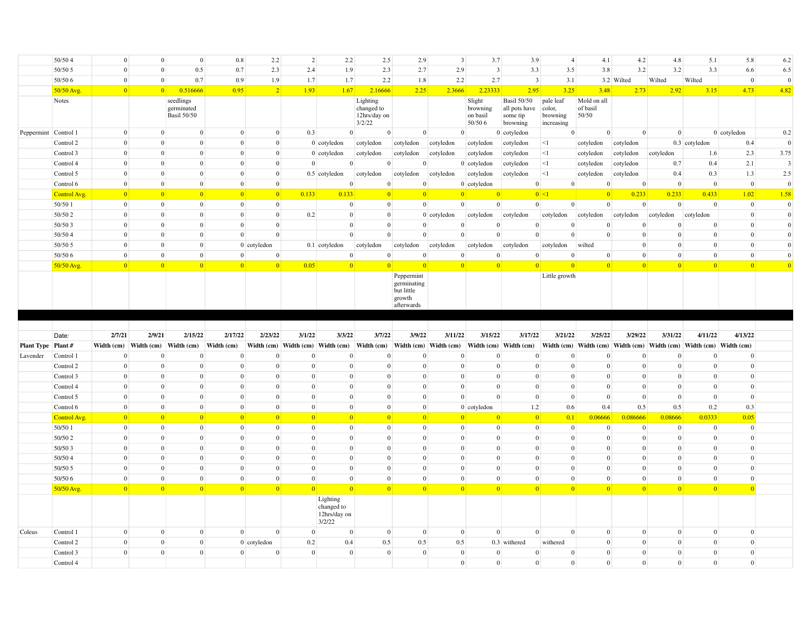|                      | 50/504       | $\Omega$                  | $\Omega$         | $\mathbf{0}$                                  | 0.8            | 2.2            | $\overline{2}$ | 2.2                                                    | 2.5                                              | 2.9                                                             | $\overline{\mathbf{3}}$ | 3.7                                       | 3.9                                                         | $\overline{4}$                                | 4.1                              | 4.2                                                               | 4.8             | 5.1             | 5.8            | 6.2                     |
|----------------------|--------------|---------------------------|------------------|-----------------------------------------------|----------------|----------------|----------------|--------------------------------------------------------|--------------------------------------------------|-----------------------------------------------------------------|-------------------------|-------------------------------------------|-------------------------------------------------------------|-----------------------------------------------|----------------------------------|-------------------------------------------------------------------|-----------------|-----------------|----------------|-------------------------|
|                      | 50/50 5      | $\overline{0}$            | $\overline{0}$   | 0.5                                           | 0.7            | 2.3            | 2.4            | 1.9                                                    | 2.3                                              | 2.7                                                             | 2.9                     | $\overline{\mathbf{3}}$                   | 3.3                                                         | 3.5                                           | 3.8                              | 3.2                                                               | 3.2             | 3.3             | 6.6            | 6.5                     |
|                      | 50/50 6      | $\overline{0}$            | $\overline{0}$   | 0.7                                           | 0.9            | 1.9            | 1.7            | 1.7                                                    | 2.2                                              | 1.8                                                             | 2.2                     | 2.7                                       | $\overline{\mathbf{3}}$                                     | 3.1                                           |                                  | 3.2 Wilted                                                        | Wilted          | Wilted          | $\overline{0}$ | $\theta$                |
|                      | 50/50 Avg.   | $\vert 0 \vert$           | 0                | 0.516666                                      | 0.95           | $\vert$ 2      | 1.93           | 1.67                                                   | 2.16666                                          | 2.25                                                            | 2.3666                  | 2.23333                                   | 2.95                                                        | 3.25                                          | 3.48                             | 2.73                                                              | 2.92            | 3.15            | 4.73           | 4.82                    |
|                      | Notes        |                           |                  | seedlings<br>germinated<br><b>Basil 50/50</b> |                |                |                |                                                        | Lighting<br>changed to<br>12hrs/day on<br>3/2/22 |                                                                 |                         | Slight<br>browning<br>on basil<br>50/50 6 | <b>Basil 50/50</b><br>all pots have<br>some tip<br>browning | pale leaf<br>color,<br>browning<br>increasing | Mold on all<br>of basil<br>50/50 |                                                                   |                 |                 |                |                         |
| Peppermint Control 1 |              | $\overline{0}$            | $\Omega$         | $\overline{0}$                                | $\overline{0}$ | $\overline{0}$ | 0.3            | $\overline{0}$                                         | $\overline{0}$                                   | $\overline{0}$                                                  | $\overline{0}$          |                                           | $0$ cotyledon                                               | $\overline{0}$                                |                                  | $\overline{0}$<br>$\overline{0}$                                  | $\overline{0}$  |                 | $0$ cotyledon  | 0.2                     |
|                      | Control 2    | $\overline{0}$            | $\overline{0}$   | $\theta$                                      | $\overline{0}$ | $\overline{0}$ |                | $0$ cotyledon                                          | cotyledon                                        | cotyledon                                                       | cotyledon               | cotyledon                                 | cotyledon                                                   | $\leq$ 1                                      | cotyledon                        | cotyledon                                                         |                 | 0.3 cotyledon   | 0.4            | $\overline{0}$          |
|                      | Control 3    | $\Omega$                  | $\overline{0}$   | $\theta$                                      | $\theta$       | $\overline{0}$ |                | $0$ cotyledon                                          | cotyledon                                        | cotyledon                                                       | cotyledon               | cotyledon                                 | cotyledon                                                   | $\leq$                                        | cotyledon                        | cotyledon                                                         | cotyledon       | 1.6             | 2.3            | 3.75                    |
|                      | Control 4    | $\overline{0}$            | $\overline{0}$   | $\theta$                                      | $\overline{0}$ | $\overline{0}$ | $\overline{0}$ | $\overline{0}$                                         | $\overline{0}$                                   | $\overline{0}$                                                  |                         | $0$ cotyledon                             | cotyledon                                                   | <1                                            | cotyledon                        | cotyledon                                                         | 0.7             | 0.4             | 2.1            | $\overline{\mathbf{3}}$ |
|                      | Control 5    | $\overline{0}$            | $\overline{0}$   | $\overline{0}$                                | $\overline{0}$ | $\overline{0}$ |                | $0.5$ cotyledon                                        | cotyledon                                        | cotyledon cotyledon                                             |                         | cotyledon                                 | cotyledon                                                   | <1                                            | cotyledon                        | cotyledon                                                         | 0.4             | 0.3             | 1.3            | 2.5                     |
|                      | Control 6    | $\overline{0}$            | $\overline{0}$   | $\theta$                                      | $\overline{0}$ | $\mathbf{0}$   |                | $\overline{0}$                                         | $\Omega$                                         | $\overline{0}$                                                  |                         | $0$ cotyledon                             | $\overline{0}$                                              | $\mathbf{0}$                                  | $\Omega$                         | $\mathbf{0}$                                                      | $\overline{0}$  | $\overline{0}$  | $\overline{0}$ | $\theta$                |
|                      | Control Avg. | $\vert 0 \vert$           | $\vert 0 \vert$  | $\vert 0 \vert$                               | $\overline{0}$ | 0              | 0.133          | 0.133                                                  | $\overline{0}$                                   | 0                                                               | 0                       | $\vert 0 \vert$                           |                                                             | $ 0 $ <1                                      | 0                                | 0.233                                                             | 0.233           | 0.433           | 1.02           | 1.58                    |
|                      | 50/50 1      | $\overline{0}$            | $\overline{0}$   | $\overline{0}$                                | $\mathbf{0}$   | $\overline{0}$ |                | $\mathbf{0}$                                           | $\overline{0}$                                   | $\overline{0}$                                                  | $\overline{0}$          | $\overline{0}$                            | $\overline{0}$                                              | $\mathbf{0}$                                  | $\vert 0 \vert$                  | $\overline{0}$                                                    | $\overline{0}$  | $\overline{0}$  | $\overline{0}$ | $\Omega$                |
|                      | 50/50 2      | $\Omega$                  | $\overline{0}$   | $\Omega$                                      | $\overline{0}$ | $\overline{0}$ | 0.2            | $\mathbf{0}$                                           | $\theta$                                         |                                                                 | $0$ cotyledon           | cotyledon                                 | cotyledon                                                   | cotyledon                                     | cotyledon                        | cotyledon                                                         | cotyledon       | cotyledon       | $\overline{0}$ | $\overline{0}$          |
|                      | 50/50 3      | $\Omega$                  | $\overline{0}$   | $\theta$                                      | $\theta$       | $\overline{0}$ |                | $\mathbf{0}$                                           | $\theta$                                         | $\theta$                                                        | $\overline{0}$          | $\Omega$                                  | $\Omega$                                                    | $\Omega$                                      | $\Omega$                         | $\overline{0}$                                                    | $\theta$        | $\Omega$        | $\Omega$       | $\overline{0}$          |
|                      | 50/504       | $\Omega$                  | $\overline{0}$   | $\theta$                                      | $\theta$       | $\overline{0}$ |                | $\mathbf{0}$                                           | $\theta$                                         | $\mathbf{0}$                                                    | $\theta$                | $\overline{0}$                            | $\theta$                                                    | $\overline{0}$                                | $\Omega$                         | $\overline{0}$                                                    | $\theta$        | $\theta$        | $\Omega$       | $\overline{0}$          |
|                      | 50/50 5      | $\Omega$                  | $\overline{0}$   | $\theta$                                      |                | 0 cotyledon    |                | $0.1$ cotyledon                                        | cotyledon                                        | cotyledon                                                       | cotyledon               | cotyledon                                 | cotyledon                                                   | cotyledon                                     | wilted                           | $\overline{0}$                                                    | $\theta$        | $\theta$        | $\Omega$       | $\overline{0}$          |
|                      | 50/50 6      | $\mathbf{0}$              | $\overline{0}$   | $\mathbf{0}$                                  | $\bf{0}$       | $\overline{0}$ |                | $\mathbf{0}$                                           | $\theta$                                         | $\mathbf{0}$                                                    | $\mathbf{0}$            | $\mathbf{0}$                              | $\Omega$                                                    | $\mathbf{0}$                                  | $\mathbf{0}$                     | $\mathbf{0}$                                                      | $\Omega$        | $\overline{0}$  | $\mathbf{0}$   | $\overline{0}$          |
|                      | 50/50 Avg.   | $\vert 0 \vert$           | 0                | 0                                             | 0              | 0              | 0.05           | $\vert 0 \vert$                                        | $\vert 0 \vert$                                  | 0                                                               | 0                       | $\vert 0 \vert$                           | $\vert 0 \vert$                                             | $\vert 0 \vert$                               | 0                                | 0                                                                 | $\vert 0 \vert$ | $\vert 0 \vert$ | 0              | $\vert 0 \vert$         |
|                      |              |                           |                  |                                               |                |                |                |                                                        |                                                  | Peppermint<br>germinating<br>but little<br>growth<br>afterwards |                         |                                           |                                                             | Little growth                                 |                                  |                                                                   |                 |                 |                |                         |
|                      |              |                           |                  |                                               |                |                |                |                                                        |                                                  |                                                                 |                         |                                           |                                                             |                                               |                                  |                                                                   |                 |                 |                |                         |
|                      |              |                           |                  |                                               |                |                |                |                                                        |                                                  |                                                                 |                         |                                           |                                                             |                                               |                                  |                                                                   |                 |                 |                |                         |
|                      | Date:        | 2/7/21                    | 2/9/21           | 2/15/22                                       | 2/17/22        | 2/23/22        | 3/1/22         | 3/3/22                                                 | 3/7/22                                           | 3/9/22                                                          | 3/11/22                 | 3/15/22                                   | 3/17/22                                                     | 3/21/22                                       | 3/25/22                          | 3/29/22                                                           | 3/31/22         | 4/11/22         | 4/13/22        |                         |
| Plant Type Plant #   |              | Width $(cm)$ Width $(cm)$ |                  | Width (cm)                                    | Width (cm)     |                |                |                                                        | Width (cm) Width (cm) Width (cm) Width (cm)      |                                                                 | Width (cm) Width (cm)   |                                           | Width (cm) Width (cm)                                       |                                               |                                  | Width (cm) Width (cm) Width (cm) Width (cm) Width (cm) Width (cm) |                 |                 |                |                         |
| Lavender             | Control 1    | $\Omega$                  | $\overline{0}$   | $\Omega$                                      | $\overline{0}$ | $\overline{0}$ | $\mathbf{0}$   | $\mathbf{0}$                                           | $\Omega$                                         | $\Omega$                                                        | $\Omega$                | $\Omega$                                  | $\Omega$                                                    | $\mathbf{0}$                                  | $\bf{0}$                         | $\mathbf{0}$                                                      | $\Omega$        | $\mathbf{0}$    | $\overline{0}$ |                         |
|                      | Control 2    | $\overline{0}$            | $\overline{0}$   | $\mathbf{0}$                                  | $\mathbf{0}$   | $\mathbf{0}$   | $\mathbf{0}$   | $\mathbf{0}$                                           | $\Omega$                                         | $\mathbf{0}$                                                    | $\mathbf{0}$            | $\mathbf{0}$                              | $\mathbf{0}$                                                | $\mathbf{0}$                                  | $\bf{0}$                         | $\mathbf{0}$                                                      | $\mathbf{0}$    | $\mathbf{0}$    | $\mathbf{0}$   |                         |
|                      | Control 3    | $\Omega$                  | $\overline{0}$   | $\Omega$                                      | $\Omega$       | $\mathbf{0}$   | $\mathbf{0}$   | $\mathbf{0}$                                           | $\Omega$                                         | $\Omega$                                                        | $\Omega$                | $\Omega$                                  | $\Omega$                                                    | $\Omega$                                      | $\Omega$                         | $\mathbf{0}$                                                      | $\Omega$        | $\Omega$        | $\mathbf{0}$   |                         |
|                      | Control 4    | $\Omega$                  | $\overline{0}$   | $\Omega$                                      | $\Omega$       | $\mathbf{0}$   | $\mathbf{0}$   | $\mathbf{0}$                                           | $\Omega$                                         | $\Omega$                                                        | $\Omega$                | $\Omega$                                  | $\overline{0}$                                              | $\Omega$                                      | $\Omega$                         | $\mathbf{0}$                                                      | $\Omega$        | $\Omega$        | $\Omega$       |                         |
|                      | Control 5    | $\overline{0}$            | $\overline{0}$   | $\mathbf{0}$                                  | $\overline{0}$ | $\overline{0}$ | $\mathbf{0}$   | $\mathbf{0}$                                           | $\Omega$                                         | $\mathbf{0}$                                                    | $\overline{0}$          | $\overline{0}$                            | $\overline{0}$                                              | $\overline{0}$                                | $\overline{0}$                   | $\mathbf{0}$                                                      | $\overline{0}$  | $\overline{0}$  | $\overline{0}$ |                         |
|                      | Control 6    | $\overline{0}$            | $\overline{0}$   | $\mathbf{0}$                                  | $\overline{0}$ | $\overline{0}$ | $\mathbf{0}$   | $\bf{0}$                                               | $\overline{0}$                                   | $\mathbf{0}$                                                    |                         | 0 cotyledon                               | 1.2                                                         | 0.6                                           | 0.4                              | 0.5                                                               | 0.5             | 0.2             | 0.3            |                         |
|                      | Control Avg. | $\vert 0 \vert$           | 0                | $\overline{0}$                                | 0              | 0              | $\overline{0}$ | 0                                                      | $\vert 0 \vert$                                  | $\vert 0 \vert$                                                 | 0                       | $\vert 0 \vert$                           | $\vert 0 \vert$                                             | 0.1                                           | 0.06666                          | 0.086666                                                          | 0.08666         | 0.0333          | 0.05           |                         |
|                      | 50/50 1      | $\overline{0}$            | $\boldsymbol{0}$ | $\mathbf{0}$                                  | $\bf{0}$       | $\overline{0}$ | $\mathbf{0}$   | $\bf{0}$                                               | $\overline{0}$                                   | $\mathbf{0}$                                                    | $\mathbf{0}$            | $\overline{0}$                            | $\bf{0}$                                                    | $\overline{0}$                                | $\mathbf{0}$                     | $\mathbf{0}$                                                      | $\overline{0}$  | $\overline{0}$  | $\overline{0}$ |                         |
|                      | 50/50 2      | $\overline{0}$            | $\overline{0}$   | $\mathbf{0}$                                  | $\overline{0}$ | $\overline{0}$ | $\mathbf{0}$   | $\overline{0}$                                         | $\Omega$                                         | $\mathbf{0}$                                                    | $\overline{0}$          | $\overline{0}$                            | $\overline{0}$                                              | $\overline{0}$                                | $\bf{0}$                         | $\mathbf{0}$                                                      | $\overline{0}$  | $\overline{0}$  | $\overline{0}$ |                         |
|                      | 50/50 3      | $\overline{0}$            | $\overline{0}$   | $\mathbf{0}$                                  | $\overline{0}$ | $\overline{0}$ | $\mathbf{0}$   | $\overline{0}$                                         | $\Omega$                                         | $\mathbf{0}$                                                    | $\mathbf{0}$            | $\overline{0}$                            | $\overline{0}$                                              | $\mathbf{0}$                                  | $\bf{0}$                         | $\mathbf{0}$                                                      | $\overline{0}$  | $\overline{0}$  | $\overline{0}$ |                         |
|                      | 50/504       | $\overline{0}$            | $\overline{0}$   | $\mathbf{0}$                                  | $\overline{0}$ | $\overline{0}$ | $\mathbf{0}$   | $\overline{0}$                                         | $\Omega$                                         | $\mathbf{0}$                                                    | $\overline{0}$          | $\overline{0}$                            | $\overline{0}$                                              | $\mathbf{0}$                                  | $\overline{0}$                   | $\mathbf{0}$                                                      | $\overline{0}$  | $\Omega$        | $\overline{0}$ |                         |
|                      | 50/50 5      | $\overline{0}$            | $\overline{0}$   | $\mathbf{0}$                                  | $\mathbf{0}$   | $\overline{0}$ | $\overline{0}$ | $\mathbf{0}$                                           | $\overline{0}$                                   | $\overline{0}$                                                  | $\overline{0}$          | $\overline{0}$                            | $\overline{0}$                                              | $\overline{0}$                                | $\overline{0}$                   | $\mathbf{0}$                                                      | $\overline{0}$  | $\overline{0}$  | $\overline{0}$ |                         |
|                      | 50/50 6      | $\overline{0}$            | $\overline{0}$   | $\mathbf{0}$                                  | $\mathbf{0}$   | $\mathbf{0}$   | $\overline{0}$ | $\mathbf{0}$                                           | $\overline{0}$                                   | $\overline{0}$                                                  | $\overline{0}$          | $\overline{0}$                            | $\overline{0}$                                              | $\overline{0}$                                | $\overline{0}$                   | $\mathbf{0}$                                                      | $\overline{0}$  | $\overline{0}$  | $\overline{0}$ |                         |
|                      | 50/50 Avg.   | 0                         | 0                | $\overline{0}$                                | 0              | 0              | 0              | 0 <br>Lighting<br>changed to<br>12hrs/day on<br>3/2/22 | $\overline{0}$                                   | 0                                                               | 0                       | $\vert 0 \vert$                           | $\vert 0 \vert$                                             | 0                                             | 0                                | $\overline{0}$                                                    | $\overline{0}$  | 0               | $\overline{0}$ |                         |
| Coleus               | Control 1    | $\Omega$                  | $\overline{0}$   | $\overline{0}$                                | $\overline{0}$ | $\overline{0}$ | $\overline{0}$ | $\mathbf{0}$                                           | $\mathbf{0}$                                     | $\overline{0}$                                                  | $\overline{0}$          | $\overline{0}$                            | $\overline{0}$                                              | $\overline{0}$                                | $\overline{0}$                   | $\overline{0}$                                                    | $\overline{0}$  | $\overline{0}$  | $\overline{0}$ |                         |
|                      | Control 2    | $\overline{0}$            | $\overline{0}$   | $\mathbf{0}$                                  |                | 0 cotyledon    | 0.2            | 0.4                                                    | 0.5                                              | 0.5                                                             | 0.5                     |                                           | 0.3 withered                                                | withered                                      | $\Omega$                         | $\mathbf{0}$                                                      | $\overline{0}$  | $\Omega$        | $\overline{0}$ |                         |
|                      | Control 3    | $\overline{0}$            | $\overline{0}$   | $\Omega$                                      | $\overline{0}$ | $\overline{0}$ | $\overline{0}$ | $\overline{0}$                                         | $\mathbf{0}$                                     | $\overline{0}$                                                  | $\Omega$                | $\overline{0}$                            | $\overline{0}$                                              | $\Omega$                                      | $\Omega$                         | $\mathbf{0}$                                                      | $\Omega$        | $\Omega$        | $\Omega$       |                         |